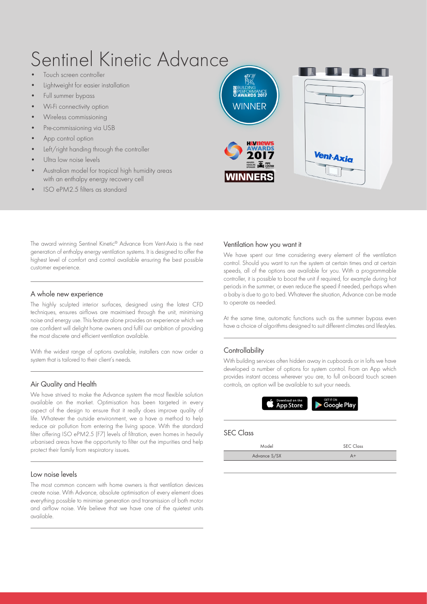# Sentinel Kinetic Advance

- Touch screen controller
- Lightweight for easier installation
- Full summer bypass
- Wi-Fi connectivity option
- Wireless commissioning
- Pre-commissioning via USB
- App control option
- Left/right handing through the controller
- Ultra low noise levels
- Australian model for tropical high humidity areas with an enthalpy energy recovery cell
- ISO ePM2.5 filters as standard



The award winning Sentinel Kinetic® Advance from Vent-Axia is the next generation of enthalpy energy ventilation systems. It is designed to offer the highest level of comfort and control available ensuring the best possible customer experience.

## A whole new experience

The highly sculpted interior surfaces, designed using the latest CFD techniques, ensures airflows are maximised through the unit, minimising noise and energy use. This feature alone provides an experience which we are confident will delight home owners and fulfil our ambition of providing the most discrete and efficient ventilation available.

With the widest range of options available, installers can now order a system that is tailored to their client's needs.

## Air Quality and Health

We have strived to make the Advance system the most flexible solution available on the market. Optimisation has been targeted in every aspect of the design to ensure that it really does improve quality of life. Whatever the outside environment, we a have a method to help reduce air pollution from entering the living space. With the standard filter offering ISO ePM2.5 (F7) levels of filtration, even homes in heavily urbanised areas have the opportunity to filter out the impurities and help protect their family from respiratory issues.

## Low noise levels

The most common concern with home owners is that ventilation devices create noise. With Advance, absolute optimisation of every element does everything possible to minimise generation and transmission of both motor and airflow noise. We believe that we have one of the quietest units available.

#### Ventilation how you want it

We have spent our time considering every element of the ventilation control. Should you want to run the system at certain times and at certain speeds, all of the options are available for you. With a programmable controller, it is possible to boost the unit if required, for example during hot periods in the summer, or even reduce the speed if needed, perhaps when a baby is due to go to bed. Whatever the situation, Advance can be made to operate as needed.

At the same time, automatic functions such as the summer bypass even have a choice of algorithms designed to suit different climates and lifestyles.

## **Controllability**

With building services often hidden away in cupboards or in lofts we have developed a number of options for system control. From an App which provides instant access wherever you are, to full on-board touch screen controls, an option will be available to suit your needs.



## SEC Class

| Model        | <b>SEC Class</b> |  |  |  |  |
|--------------|------------------|--|--|--|--|
| Advance S/SX |                  |  |  |  |  |
|              |                  |  |  |  |  |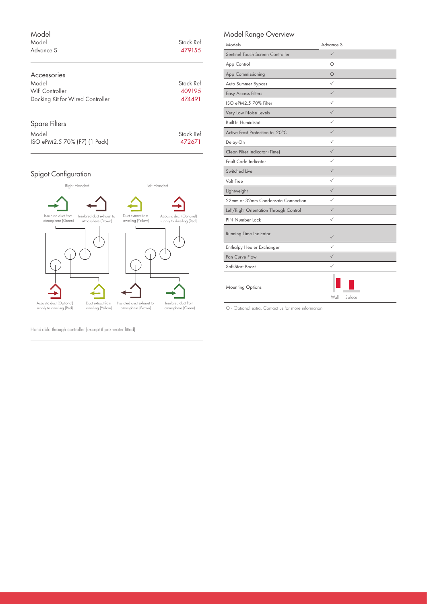| Model<br>Model<br>Advance S      | Stock Ref<br>479155 |
|----------------------------------|---------------------|
| Accessories                      |                     |
| Model                            | Stock Ref           |
| Wifi Controller                  | 409195              |
| Docking Kit for Wired Controller | 474491              |
| <b>Spare Filters</b>             |                     |

| Stock Ref |
|-----------|
| 472671    |
|           |

# Spigot Configuration



Hand-able through controller (except if pre-heater fitted)

# Model Range Overview

| Models                                 | Advance S       |
|----------------------------------------|-----------------|
| Sentinel Touch Screen Controller       | $\checkmark$    |
| App Control                            | О               |
| App Commissioning                      | $\circ$         |
| Auto Summer Bypass                     | ✓               |
| <b>Easy Access Filters</b>             | $\checkmark$    |
| ISO ePM2.5 70% Filter                  | ✓               |
| Very Low Noise Levels                  | $\checkmark$    |
| <b>Built-In Humidistat</b>             | ✓               |
| Active Frost Protection to -20°C       | $\checkmark$    |
| Delay-On                               | ✓               |
| Clean Filter Indicator (Time)          | $\checkmark$    |
| Fault Code Indicator                   | $\checkmark$    |
| Switched Live                          | $\checkmark$    |
| Volt Free                              | ✓               |
| Lightweight                            | $\checkmark$    |
| 22mm or 32mm Condensate Connection     | ✓               |
| Left/Right Orientation Through Control | $\checkmark$    |
| PIN Number Lock                        | ✓               |
| <b>Running Time Indicator</b>          | ✓               |
| Enthalpy Heater Exchanger              | ✓               |
| Fan Curve Flow                         | $\checkmark$    |
| Soft-Start Boost                       | ✓               |
| <b>Mounting Options</b>                | Surface<br>Wall |

O - Optional extra. Contact us for more information.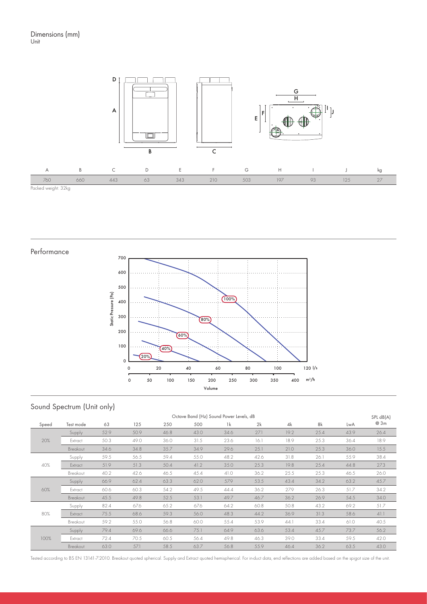

Performance



# Sound Spectrum (Unit only)

| Octave Band (Hz) Sound Power Levels, dB |           |      |      |      |      |                |      |      |      | SPL dB(A) |      |
|-----------------------------------------|-----------|------|------|------|------|----------------|------|------|------|-----------|------|
| Speed                                   | Test mode | 63   | 125  | 250  | 500  | 1 <sup>k</sup> | 2k   | 4k   | 8k   | LwA       | @ 3m |
| 20%                                     | Supply    | 52.9 | 50.9 | 46.8 | 43.0 | 34.6           | 27.1 | 19.2 | 25.4 | 43.9      | 26.4 |
|                                         | Extract   | 50.3 | 49.0 | 36.0 | 31.5 | 23.6           | 16.1 | 18.9 | 25.3 | 36.4      | 18.9 |
|                                         | Breakout  | 34.6 | 34.8 | 35.7 | 34.9 | 29.6           | 25.1 | 21.0 | 25.3 | 36.0      | 15.5 |
| 40%                                     | Supply    | 59.5 | 56.5 | 59.4 | 55.0 | 48.2           | 42.6 | 31.8 | 26.1 | 55.9      | 38.4 |
|                                         | Extract   | 51.9 | 51.3 | 50.4 | 41.2 | 35.0           | 25.3 | 19.8 | 25.4 | 44.8      | 27.3 |
|                                         | Breakout  | 40.2 | 42.6 | 46.5 | 45.4 | 41.0           | 36.2 | 25.5 | 25.3 | 46.5      | 26.0 |
| 60%                                     | Supply    | 66.9 | 62.4 | 63.3 | 62.0 | 57.9           | 53.5 | 43.4 | 34.2 | 63.2      | 45.7 |
|                                         | Extract   | 60.6 | 60.3 | 54.2 | 49.5 | 44.4           | 36.2 | 27.9 | 26.3 | 51.7      | 34.2 |
|                                         | Breakout  | 45.5 | 49.8 | 52.5 | 53.1 | 49.7           | 46.7 | 36.2 | 26.9 | 54.5      | 34.0 |
| 80%                                     | Supply    | 82.4 | 67.6 | 65.2 | 67.6 | 64.2           | 60.8 | 50.8 | 43.2 | 69.2      | 51.7 |
|                                         | Extract   | 75.5 | 68.6 | 59.3 | 56.0 | 48.3           | 44.2 | 36.9 | 31.3 | 58.6      | 41.1 |
|                                         | Breakout  | 59.2 | 55.0 | 56.8 | 60.0 | 55.4           | 53.9 | 44.1 | 33.4 | 61.0      | 40.5 |
| 100%                                    | Supply    | 79.4 | 69.6 | 66.6 | 75.1 | 64.9           | 63.6 | 53.4 | 45.7 | 73.7      | 56.2 |
|                                         | Extract   | 72.4 | 70.5 | 60.5 | 56.4 | 49.8           | 46.3 | 39.0 | 33.4 | 59.5      | 42.0 |
|                                         | Breakout  | 63.0 | 57.1 | 58.5 | 63.7 | 56.8           | 55.9 | 46.4 | 36.2 | 63.5      | 43.0 |

Tested according to BS EN 13141-7:2010. Breakout quoted spherical. Supply and Extract quoted hemispherical. For in-duct data, end reflections are added based on the spigot size of the unit.